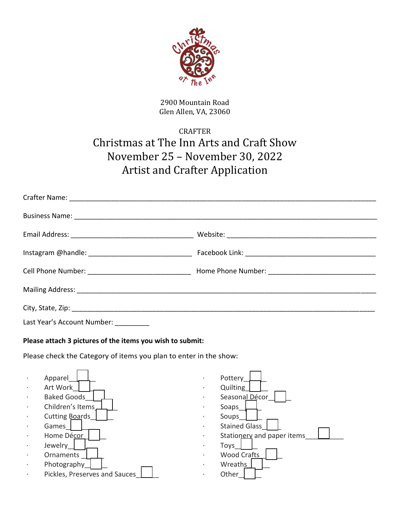

2900 Mountain Road Glen Allen, VA, 23060

# CRAFTER Christmas at The Inn Arts and Craft Show November 25 – November 30, 2022 Artist and Crafter Application

| Last Year's Account Number: __________ |  |
|----------------------------------------|--|

#### **Please attach 3 pictures of the items you wish to submit:**

Please check the Category of items you plan to enter in the show:



| Pottery<br>Quilting<br>Seasonal Décor<br>Soaps<br>Soups<br><b>Stained Glass</b><br>Stationery and paper items<br><b>Toys</b><br><b>Wood Crafts</b><br>Wreaths |
|---------------------------------------------------------------------------------------------------------------------------------------------------------------|
| Other                                                                                                                                                         |
|                                                                                                                                                               |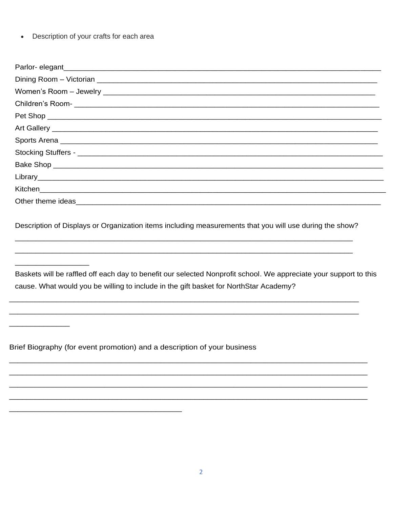Description of your crafts for each area  $\bullet$ 

| Kitchen <u>with the community of the community of the community of the community of the community of the community of the community of the community of the community of the community of the community of the community of the </u>  |
|---------------------------------------------------------------------------------------------------------------------------------------------------------------------------------------------------------------------------------------|
| Other theme ideas<br><u>Letter and the substitute of the substitute</u> of the substitute of the substitute of the substitute of the substitute of the substitute of the substitute of the substitute of the substitute of the substi |

Description of Displays or Organization items including measurements that you will use during the show?

Baskets will be raffled off each day to benefit our selected Nonprofit school. We appreciate your support to this cause. What would you be willing to include in the gift basket for NorthStar Academy?

Brief Biography (for event promotion) and a description of your business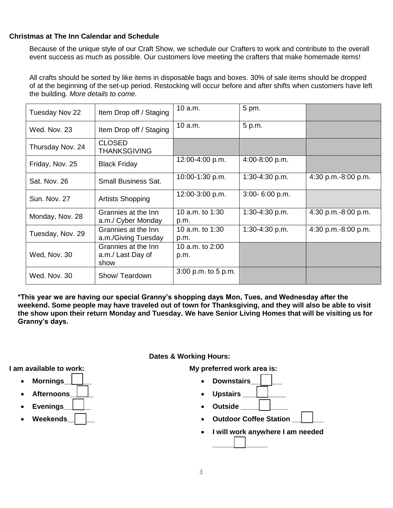#### **Christmas at The Inn Calendar and Schedule**

Because of the unique style of our Craft Show, we schedule our Crafters to work and contribute to the overall event success as much as possible. Our customers love meeting the crafters that make homemade items!

All crafts should be sorted by like items in disposable bags and boxes. 30% of sale items should be dropped of at the beginning of the set-up period. Restocking will occur before and after shifts when customers have left the building. *More details to come.*

| Tuesday Nov 22      | Item Drop off / Staging                          | 10 a.m.                 | 5 pm.            |                     |
|---------------------|--------------------------------------------------|-------------------------|------------------|---------------------|
| Wed. Nov. 23        | Item Drop off / Staging                          | 10 a.m.                 | 5 p.m.           |                     |
| Thursday Nov. 24    | <b>CLOSED</b><br><b>THANKSGIVING</b>             |                         |                  |                     |
| Friday, Nov. 25     | <b>Black Friday</b>                              | 12:00-4:00 p.m.         | 4:00-8:00 p.m.   |                     |
| Sat. Nov. 26        | <b>Small Business Sat.</b>                       | 10:00-1:30 p.m.         | $1:30-4:30 p.m.$ | 4:30 p.m.-8:00 p.m. |
| <b>Sun. Nov. 27</b> | <b>Artists Shopping</b>                          | 12:00-3:00 p.m.         | 3:00-6:00 p.m.   |                     |
| Monday, Nov. 28     | Grannies at the Inn<br>a.m./ Cyber Monday        | 10 a.m. to 1:30<br>p.m. | $1:30-4:30 p.m.$ | 4:30 p.m.-8:00 p.m. |
| Tuesday, Nov. 29    | Grannies at the Inn<br>a.m./Giving Tuesday       | 10 a.m. to 1:30<br>p.m. | 1:30-4:30 p.m.   | 4:30 p.m.-8:00 p.m. |
| Wed, Nov. 30        | Grannies at the Inn<br>a.m./ Last Day of<br>show | 10 a.m. to 2:00<br>p.m. |                  |                     |
| Wed. Nov. 30        | Show/Teardown                                    | 3:00 p.m. to 5 p.m.     |                  |                     |

**\*This year we are having our special Granny's shopping days Mon, Tues, and Wednesday after the weekend. Some people may have traveled out of town for Thanksgiving, and they will also be able to visit the show upon their return Monday and Tuesday. We have Senior Living Homes that will be visiting us for Granny's days.** 

**Dates & Working Hours:** 

**My preferred work area is:** 

- **Downstairs\_\_\_\_\_\_\_\_** 
	- **Upstairs \_\_\_\_\_\_\_\_\_\_\_**
	- **•** Outside
	- **Outdoor Coffee Station**
	- **I will work anywhere I am needed \_\_\_\_\_\_\_\_\_\_\_\_\_\_**

**I am available to work:** 

- **Mornings\_\_\_\_\_\_\_**
- **Afternoons\_\_\_\_\_\_**
- **Evenings\_\_\_\_\_\_\_**
- **Weekends\_\_\_\_\_\_\_**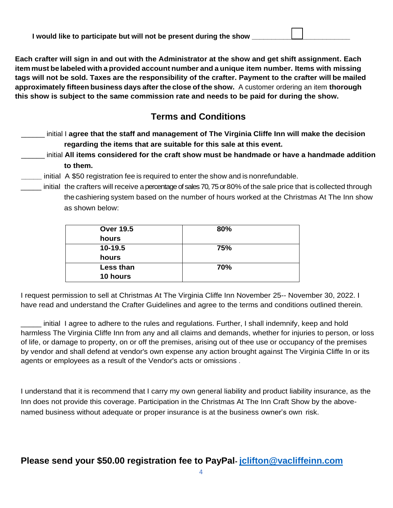| I would like to participate but will not be present during the show |  |
|---------------------------------------------------------------------|--|
|---------------------------------------------------------------------|--|

**Each crafter will sign in and out with the Administrator at the show and get shift assignment. Each item must be labeled with a provided account number and a unique item number. Items with missing tags will not be sold. Taxes are the responsibility of the crafter. Payment to the crafter will be mailed approximately fifteen business days after the close of the show.** A customer ordering an item **thorough this show is subject to the same commission rate and needs to be paid for during the show.**

## **Terms and Conditions**

- \_\_\_\_\_\_ initial I **agree that the staff and management of The Virginia Cliffe Inn will make the decision regarding the items that are suitable for this sale at this event.**
- \_\_\_\_\_\_ initial **All items considered for the craft show must be handmade or have a handmade addition to them.**
- **\_\_\_\_\_** initial A \$50 registration fee is required to enter the show and is nonrefundable.
- \_\_\_\_\_ initial the crafters will receive a percentage of sales 70, 75 or 80% of the sale price that is collected through the cashiering system based on the number of hours worked at the Christmas At The Inn show as shown below:

| <b>Over 19.5</b> | 80% |
|------------------|-----|
| hours            |     |
| 10-19.5          | 75% |
| hours            |     |
| Less than        | 70% |
| 10 hours         |     |

I request permission to sell at Christmas At The Virginia Cliffe Inn November 25-- November 30, 2022. I have read and understand the Crafter Guidelines and agree to the terms and conditions outlined therein.

\_\_\_\_\_ initial I agree to adhere to the rules and regulations. Further, I shall indemnify, keep and hold harmless The Virginia Cliffe Inn from any and all claims and demands, whether for injuries to person, or loss of life, or damage to property, on or off the premises, arising out of thee use or occupancy of the premises by vendor and shall defend at vendor's own expense any action brought against The Virginia Cliffe In or its agents or employees as a result of the Vendor's acts or omissions .

I understand that it is recommend that I carry my own general liability and product liability insurance, as the Inn does not provide this coverage. Participation in the Christmas At The Inn Craft Show by the abovenamed business without adequate or proper insurance is at the business owner's own risk.

### **Please send your \$50.00 registration fee to PayPal- [jclifton@vacliffeinn.com](mailto:jclifton@vacliffeinn.com)**